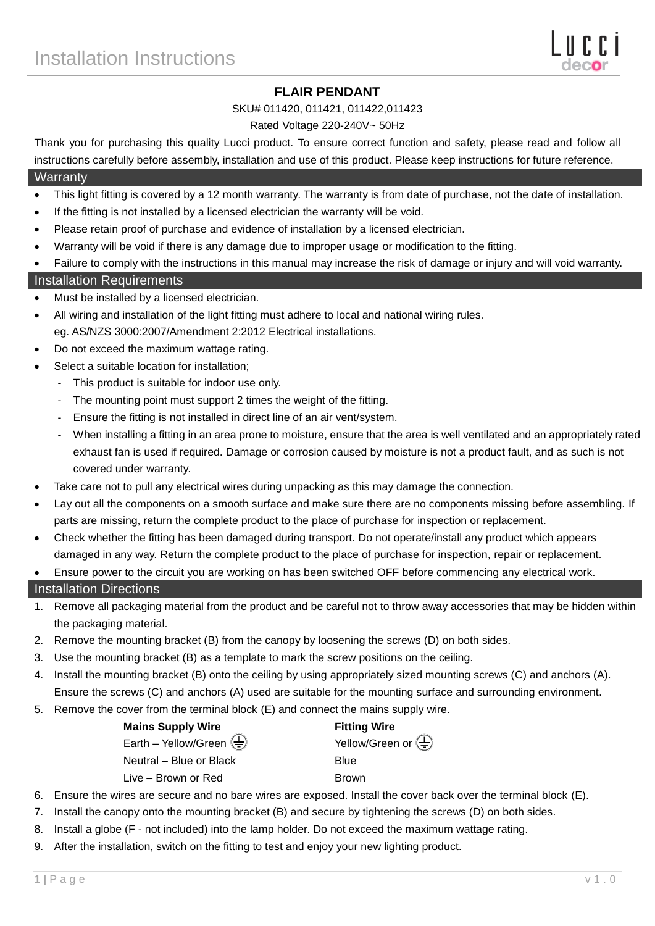## **FLAIR PENDANT**

#### SKU# 011420, 011421, 011422,011423

#### Rated Voltage 220-240V~ 50Hz

Thank you for purchasing this quality Lucci product. To ensure correct function and safety, please read and follow all instructions carefully before assembly, installation and use of this product. Please keep instructions for future reference.

#### **Warranty**

- This light fitting is covered by a 12 month warranty. The warranty is from date of purchase, not the date of installation.
- If the fitting is not installed by a licensed electrician the warranty will be void.
- Please retain proof of purchase and evidence of installation by a licensed electrician.
- Warranty will be void if there is any damage due to improper usage or modification to the fitting.
- Failure to comply with the instructions in this manual may increase the risk of damage or injury and will void warranty.

## Installation Requirements

- Must be installed by a licensed electrician.
- All wiring and installation of the light fitting must adhere to local and national wiring rules. eg. AS/NZS 3000:2007/Amendment 2:2012 Electrical installations.
- Do not exceed the maximum wattage rating.
- Select a suitable location for installation;
	- This product is suitable for indoor use only.
	- The mounting point must support 2 times the weight of the fitting.
	- Ensure the fitting is not installed in direct line of an air vent/system.
	- When installing a fitting in an area prone to moisture, ensure that the area is well ventilated and an appropriately rated exhaust fan is used if required. Damage or corrosion caused by moisture is not a product fault, and as such is not covered under warranty.
- Take care not to pull any electrical wires during unpacking as this may damage the connection.
- Lay out all the components on a smooth surface and make sure there are no components missing before assembling. If parts are missing, return the complete product to the place of purchase for inspection or replacement.
- Check whether the fitting has been damaged during transport. Do not operate/install any product which appears damaged in any way. Return the complete product to the place of purchase for inspection, repair or replacement.
- Ensure power to the circuit you are working on has been switched OFF before commencing any electrical work.

## Installation Directions

- 1. Remove all packaging material from the product and be careful not to throw away accessories that may be hidden within the packaging material.
- 2. Remove the mounting bracket (B) from the canopy by loosening the screws (D) on both sides.
- 3. Use the mounting bracket (B) as a template to mark the screw positions on the ceiling.
- 4. Install the mounting bracket (B) onto the ceiling by using appropriately sized mounting screws (C) and anchors (A). Ensure the screws (C) and anchors (A) used are suitable for the mounting surface and surrounding environment.
- 
- 5. Remove the cover from the terminal block (E) and connect the mains supply wire.

| <b>Mains Supply Wire</b>                                        | <b>Fitting Wire</b>                             |  |  |
|-----------------------------------------------------------------|-------------------------------------------------|--|--|
| Earth – Yellow/Green $\left(\frac{\Gamma}{\overline{z}}\right)$ | Yellow/Green or $\left(\frac{\Gamma}{n}\right)$ |  |  |
| Neutral - Blue or Black                                         | Blue                                            |  |  |
| Live – Brown or Red                                             | <b>Brown</b>                                    |  |  |

- 6. Ensure the wires are secure and no bare wires are exposed. Install the cover back over the terminal block (E).
- 7. Install the canopy onto the mounting bracket (B) and secure by tightening the screws (D) on both sides.
- 8. Install a globe (F not included) into the lamp holder. Do not exceed the maximum wattage rating.
- 9. After the installation, switch on the fitting to test and enjoy your new lighting product.